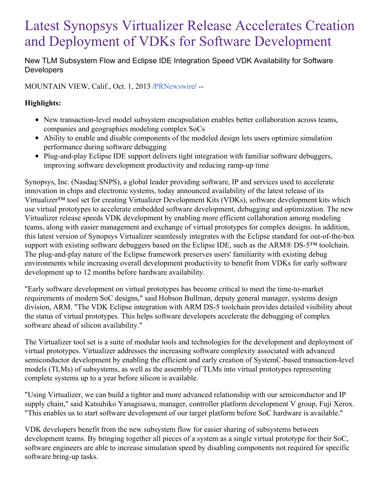# Latest Synopsys Virtualizer Release Accelerates Creation and Deployment of VDKs for Software Development

New TLM Subsystem Flow and Eclipse IDE Integration Speed VDK Availability for Software **Developers** 

MOUNTAIN VIEW, Calif., Oct. 1, 2013 [/PRNewswire](http://www.prnewswire.com/)/ --

## **Highlights:**

- New transaction-level model subsystem encapsulation enables better collaboration across teams, companies and geographies modeling complex SoCs
- Ability to enable and disable components of the modeled design lets users optimize simulation performance during software debugging
- Plug-and-play Eclipse IDE support delivers tight integration with familiar software debuggers, improving software development productivity and reducing ramp-up time

Synopsys, Inc. (Nasdaq:SNPS), a global leader providing software, IP and services used to accelerate innovation in chips and electronic systems, today announced availability of the latest release of its Virtualizer™ tool set for creating Virtualizer Development Kits (VDKs), software development kits which use virtual prototypes to accelerate embedded software development, debugging and optimization. The new Virtualizer release speeds VDK development by enabling more efficient collaboration among modeling teams, along with easier management and exchange of virtual prototypes for complex designs. In addition, this latest version of Synopsys Virtualizer seamlessly integrates with the Eclipse standard for out-of-the-box support with existing software debuggers based on the Eclipse IDE, such as the ARM® DS-5™ toolchain. The plug-and-play nature of the Eclipse framework preserves users' familiarity with existing debug environments while increasing overall development productivity to benefit from VDKs for early software development up to 12 months before hardware availability.

"Early software development on virtual prototypes has become critical to meet the time-to-market requirements of modern SoC designs," said Hobson Bullman, deputy general manager, systems design division, ARM. "The VDK Eclipse integration with ARM DS-5 toolchain provides detailed visibility about the status of virtual prototypes. This helps software developers accelerate the debugging of complex software ahead of silicon availability."

The Virtualizer tool set is a suite of modular tools and technologies for the development and deployment of virtual prototypes. Virtualizer addresses the increasing software complexity associated with advanced semiconductor development by enabling the efficient and early creation of SystemC-based transaction-level models (TLMs) of subsystems, as well as the assembly of TLMs into virtual prototypes representing complete systems up to a year before silicon is available.

"Using Virtualizer, we can build a tighter and more advanced relationship with our semiconductor and IP supply chain," said Katsuhiko Yanagisawa, manager, controller platform development V group, Fuji Xerox. "This enables us to start software development of our target platform before SoC hardware is available."

VDK developers benefit from the new subsystem flow for easier sharing of subsystems between development teams. By bringing together all pieces of a system as a single virtual prototype for their SoC, software engineers are able to increase simulation speed by disabling components not required for specific software bring-up tasks.